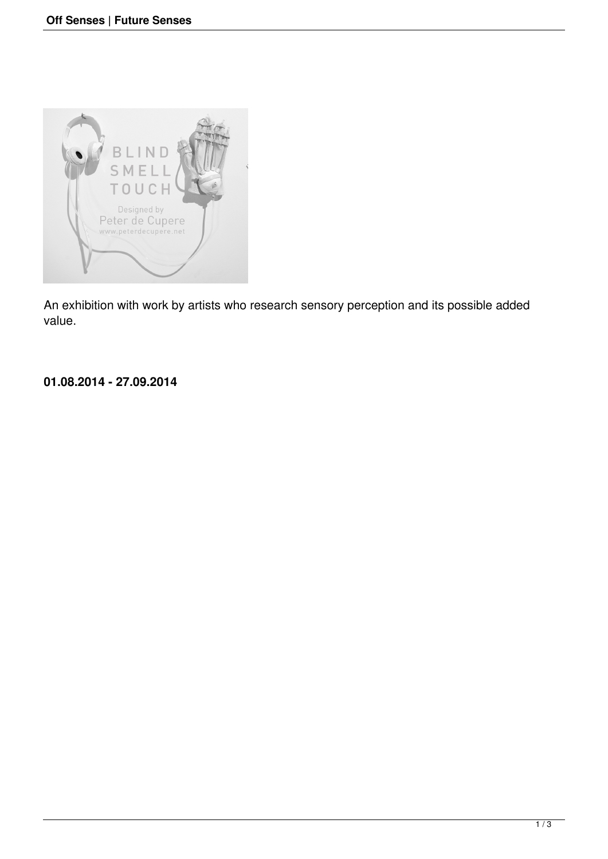

An exhibition with work by artists who research sensory perception and its possible added value.

## **01.08.2014 - 27.09.2014**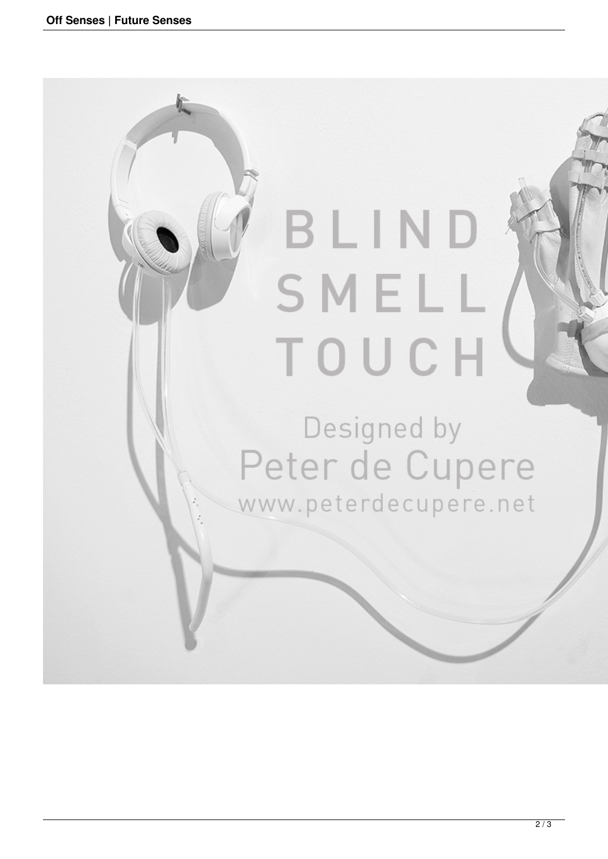Ĩ

## BLIND SMELL TOUCH

## Designed by Peter de Cupere www.peterdecupere.net